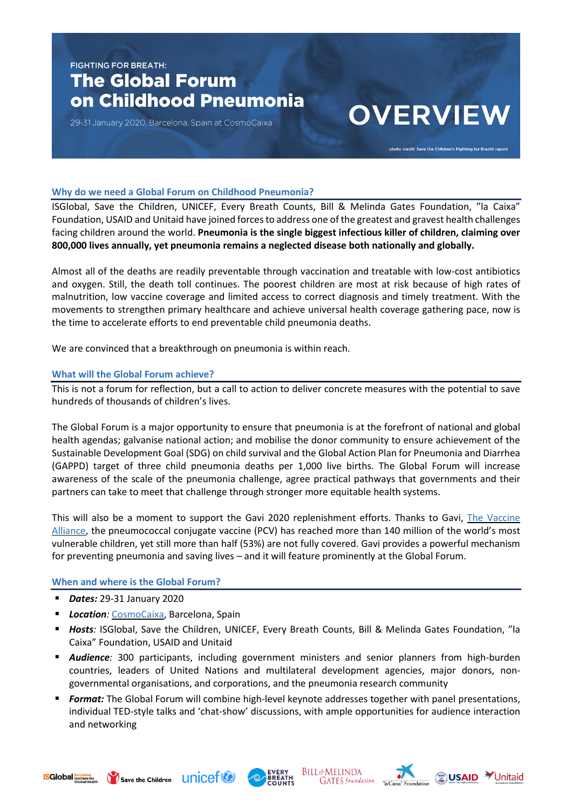## **FIGHTING FOR BREATH:** The Global Forum on Childhood Pneumonia

29-31 January 2020, Barcelona, Spain at CosmoCaixa

# **OVERVIEW**

photo credit: Save the Children's Fighting for Breath repor

#### **Why do we need a Global Forum on Childhood Pneumonia?**

ISGlobal, Save the Children, UNICEF, Every Breath Counts, Bill & Melinda Gates Foundation, "la Caixa" Foundation, USAID and Unitaid have joined forcesto address one of the greatest and gravest health challenges facing children around the world. **Pneumonia is the single biggest infectious killer of children, claiming over 800,000 lives annually, yet pneumonia remains a neglected disease both nationally and globally.**

Almost all of the deaths are readily preventable through vaccination and treatable with low-cost antibiotics and oxygen. Still, the death toll continues. The poorest children are most at risk because of high rates of malnutrition, low vaccine coverage and limited access to correct diagnosis and timely treatment. With the movements to strengthen primary healthcare and achieve universal health coverage gathering pace, now is the time to accelerate efforts to end preventable child pneumonia deaths.

We are convinced that a breakthrough on pneumonia is within reach.

#### **What will the Global Forum achieve?**

This is not a forum for reflection, but a call to action to deliver concrete measures with the potential to save hundreds of thousands of children's lives.

The Global Forum is a major opportunity to ensure that pneumonia is at the forefront of national and global health agendas; galvanise national action; and mobilise the donor community to ensure achievement of the Sustainable Development Goal (SDG) on child survival and the Global Action Plan for Pneumonia and Diarrhea (GAPPD) target of three child pneumonia deaths per 1,000 live births. The Global Forum will increase awareness of the scale of the pneumonia challenge, agree practical pathways that governments and their partners can take to meet that challenge through stronger more equitable health systems.

This will also be a moment to support the Gavi 2020 replenishment efforts. Thanks to Gavi, The [Vaccine](https://www.gavi.org/) [Alliance,](https://www.gavi.org/) the pneumococcal conjugate vaccine (PCV) has reached more than 140 million of the world's most vulnerable children, yet still more than half (53%) are not fully covered. Gavi provides a powerful mechanism for preventing pneumonia and saving lives – and it will feature prominently at the Global Forum.

#### **When and where is the Global Forum?**

- *Dates:* 29-31 January 2020
- **E** *Location:* [CosmoCaixa,](https://cosmocaixa.es/es/visitanos) Barcelona, Spain
- *Hosts:* ISGlobal, Save the Children, UNICEF, Every Breath Counts, Bill & Melinda Gates Foundation, "la Caixa" Foundation, USAID and Unitaid
- **E** *Audience:* 300 participants, including government ministers and senior planners from high-burden countries, leaders of United Nations and multilateral development agencies, major donors, nongovernmental organisations, and corporations, and the pneumonia research community
- **E** *Format:* The Global Forum will combine high-level keynote addresses together with panel presentations, individual TED-style talks and 'chat-show' discussions, with ample opportunities for audience interaction and networking